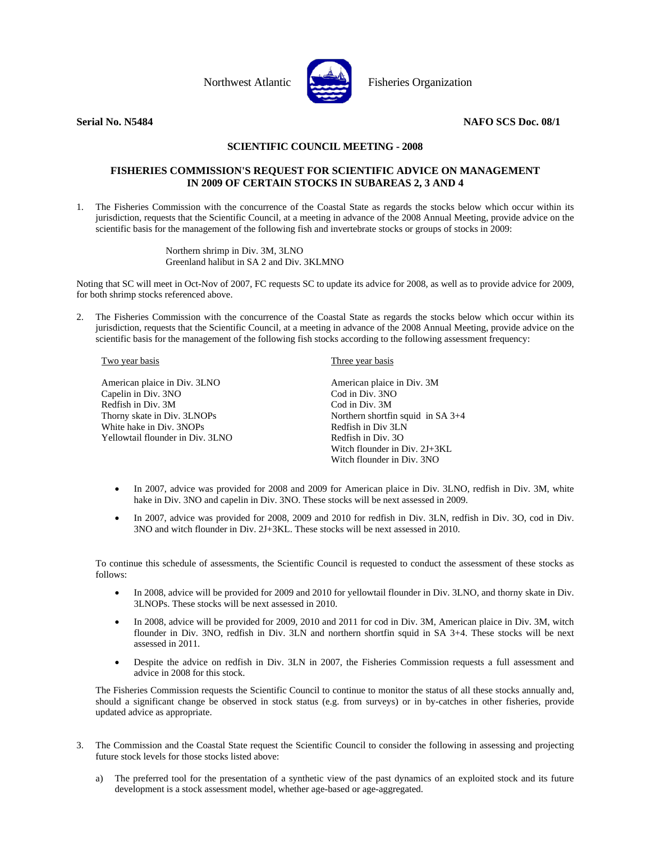

Northwest Atlantic **No. 1988** Fisheries Organization

## **Serial No. N5484** NAFO SCS Doc. 08/1

# **SCIENTIFIC COUNCIL MEETING - 2008**

## **FISHERIES COMMISSION'S REQUEST FOR SCIENTIFIC ADVICE ON MANAGEMENT IN 2009 OF CERTAIN STOCKS IN SUBAREAS 2, 3 AND 4**

1. The Fisheries Commission with the concurrence of the Coastal State as regards the stocks below which occur within its jurisdiction, requests that the Scientific Council, at a meeting in advance of the 2008 Annual Meeting, provide advice on the scientific basis for the management of the following fish and invertebrate stocks or groups of stocks in 2009:

> Northern shrimp in Div. 3M, 3LNO Greenland halibut in SA 2 and Div. 3KLMNO

Noting that SC will meet in Oct-Nov of 2007, FC requests SC to update its advice for 2008, as well as to provide advice for 2009, for both shrimp stocks referenced above.

2. The Fisheries Commission with the concurrence of the Coastal State as regards the stocks below which occur within its jurisdiction, requests that the Scientific Council, at a meeting in advance of the 2008 Annual Meeting, provide advice on the scientific basis for the management of the following fish stocks according to the following assessment frequency:

#### Two year basis

American plaice in Div. 3LNO Capelin in Div. 3NO Redfish in Div. 3M Thorny skate in Div. 3LNOPs White hake in Div. 3NOPs Yellowtail flounder in Div. 3LNO

#### Three year basis

American plaice in Div. 3M Cod in Div. 3NO Cod in Div. 3M Northern shortfin squid in SA 3+4 Redfish in Div 3LN Redfish in Div. 3O Witch flounder in Div. 2J+3KL Witch flounder in Div. 3NO

- In 2007, advice was provided for 2008 and 2009 for American plaice in Div. 3LNO, redfish in Div. 3M, white hake in Div. 3NO and capelin in Div. 3NO. These stocks will be next assessed in 2009.
- In 2007, advice was provided for 2008, 2009 and 2010 for redfish in Div. 3LN, redfish in Div. 3O, cod in Div. 3NO and witch flounder in Div. 2J+3KL. These stocks will be next assessed in 2010.

To continue this schedule of assessments, the Scientific Council is requested to conduct the assessment of these stocks as follows:

- In 2008, advice will be provided for 2009 and 2010 for yellowtail flounder in Div. 3LNO, and thorny skate in Div. 3LNOPs. These stocks will be next assessed in 2010.
- In 2008, advice will be provided for 2009, 2010 and 2011 for cod in Div. 3M, American plaice in Div. 3M, witch flounder in Div. 3NO, redfish in Div. 3LN and northern shortfin squid in SA 3+4. These stocks will be next assessed in 2011.
- Despite the advice on redfish in Div. 3LN in 2007, the Fisheries Commission requests a full assessment and advice in 2008 for this stock.

The Fisheries Commission requests the Scientific Council to continue to monitor the status of all these stocks annually and, should a significant change be observed in stock status (e.g. from surveys) or in by-catches in other fisheries, provide updated advice as appropriate.

- 3. The Commission and the Coastal State request the Scientific Council to consider the following in assessing and projecting future stock levels for those stocks listed above:
	- a) The preferred tool for the presentation of a synthetic view of the past dynamics of an exploited stock and its future development is a stock assessment model, whether age-based or age-aggregated.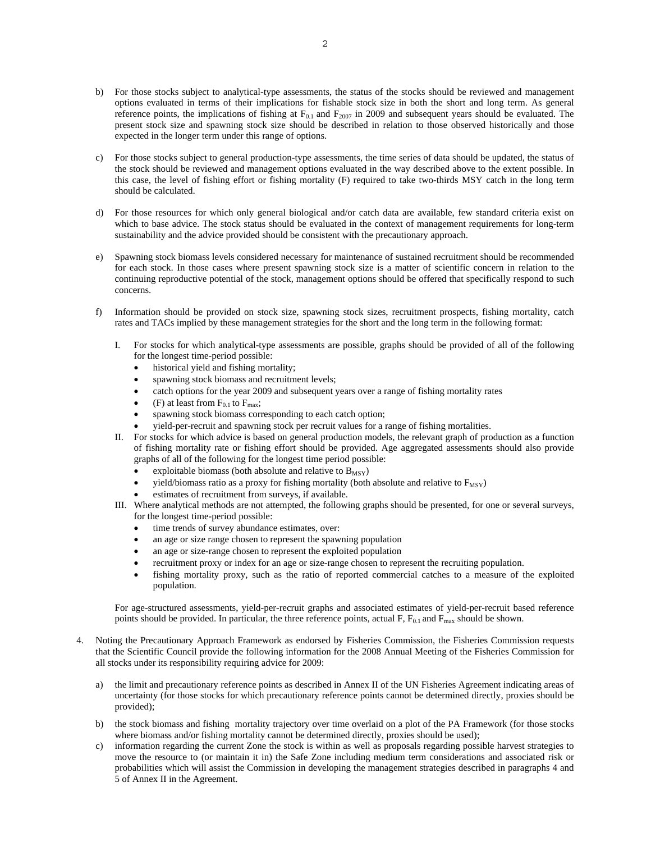- b) For those stocks subject to analytical-type assessments, the status of the stocks should be reviewed and management options evaluated in terms of their implications for fishable stock size in both the short and long term. As general reference points, the implications of fishing at  $F_{0.1}$  and  $F_{2007}$  in 2009 and subsequent years should be evaluated. The present stock size and spawning stock size should be described in relation to those observed historically and those expected in the longer term under this range of options.
- c) For those stocks subject to general production-type assessments, the time series of data should be updated, the status of the stock should be reviewed and management options evaluated in the way described above to the extent possible. In this case, the level of fishing effort or fishing mortality (F) required to take two-thirds MSY catch in the long term should be calculated.
- d) For those resources for which only general biological and/or catch data are available, few standard criteria exist on which to base advice. The stock status should be evaluated in the context of management requirements for long-term sustainability and the advice provided should be consistent with the precautionary approach.
- e) Spawning stock biomass levels considered necessary for maintenance of sustained recruitment should be recommended for each stock. In those cases where present spawning stock size is a matter of scientific concern in relation to the continuing reproductive potential of the stock, management options should be offered that specifically respond to such concerns.
- f) Information should be provided on stock size, spawning stock sizes, recruitment prospects, fishing mortality, catch rates and TACs implied by these management strategies for the short and the long term in the following format:
	- I. For stocks for which analytical-type assessments are possible, graphs should be provided of all of the following for the longest time-period possible:
		- historical yield and fishing mortality;
		- spawning stock biomass and recruitment levels;
		- catch options for the year 2009 and subsequent years over a range of fishing mortality rates
		- (F) at least from  $F_{0.1}$  to  $F_{\text{max}}$ ;
		- spawning stock biomass corresponding to each catch option;
		- yield-per-recruit and spawning stock per recruit values for a range of fishing mortalities.
	- II. For stocks for which advice is based on general production models, the relevant graph of production as a function of fishing mortality rate or fishing effort should be provided. Age aggregated assessments should also provide graphs of all of the following for the longest time period possible:
		- exploitable biomass (both absolute and relative to  $B_{MSY}$ )
		- yield/biomass ratio as a proxy for fishing mortality (both absolute and relative to  $F_{MSY}$ )
		- estimates of recruitment from surveys, if available.
	- III. Where analytical methods are not attempted, the following graphs should be presented, for one or several surveys, for the longest time-period possible:
		- time trends of survey abundance estimates, over:
		- an age or size range chosen to represent the spawning population
		- an age or size-range chosen to represent the exploited population
		- recruitment proxy or index for an age or size-range chosen to represent the recruiting population.
		- fishing mortality proxy, such as the ratio of reported commercial catches to a measure of the exploited population.

For age-structured assessments, yield-per-recruit graphs and associated estimates of yield-per-recruit based reference points should be provided. In particular, the three reference points, actual F,  $F_{0.1}$  and  $F_{\text{max}}$  should be shown.

- 4. Noting the Precautionary Approach Framework as endorsed by Fisheries Commission, the Fisheries Commission requests that the Scientific Council provide the following information for the 2008 Annual Meeting of the Fisheries Commission for all stocks under its responsibility requiring advice for 2009:
	- a) the limit and precautionary reference points as described in Annex II of the UN Fisheries Agreement indicating areas of uncertainty (for those stocks for which precautionary reference points cannot be determined directly, proxies should be provided);
	- b) the stock biomass and fishing mortality trajectory over time overlaid on a plot of the PA Framework (for those stocks where biomass and/or fishing mortality cannot be determined directly, proxies should be used);
	- c) information regarding the current Zone the stock is within as well as proposals regarding possible harvest strategies to move the resource to (or maintain it in) the Safe Zone including medium term considerations and associated risk or probabilities which will assist the Commission in developing the management strategies described in paragraphs 4 and 5 of Annex II in the Agreement.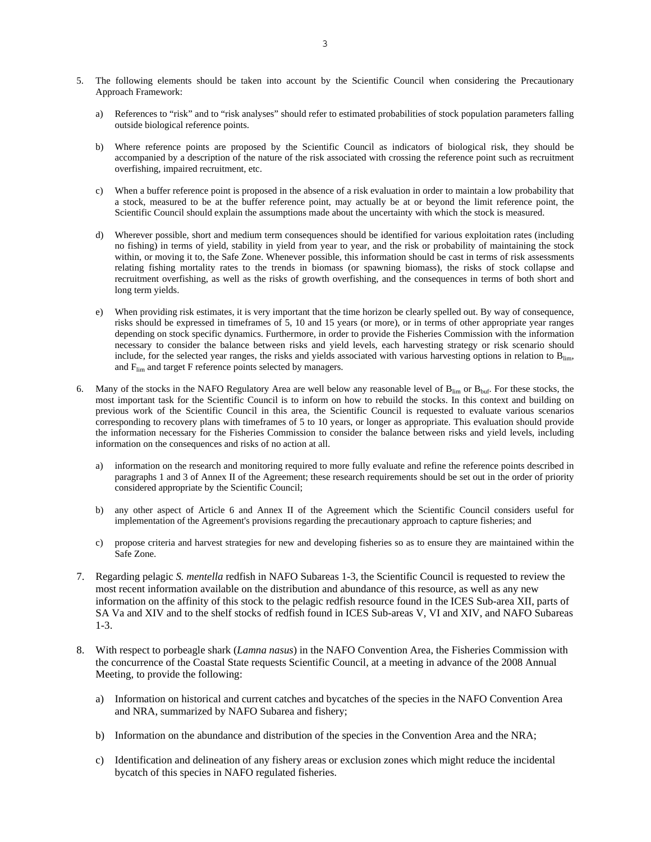- 5. The following elements should be taken into account by the Scientific Council when considering the Precautionary Approach Framework:
	- a) References to "risk" and to "risk analyses" should refer to estimated probabilities of stock population parameters falling outside biological reference points.
	- b) Where reference points are proposed by the Scientific Council as indicators of biological risk, they should be accompanied by a description of the nature of the risk associated with crossing the reference point such as recruitment overfishing, impaired recruitment, etc.
	- c) When a buffer reference point is proposed in the absence of a risk evaluation in order to maintain a low probability that a stock, measured to be at the buffer reference point, may actually be at or beyond the limit reference point, the Scientific Council should explain the assumptions made about the uncertainty with which the stock is measured.
	- d) Wherever possible, short and medium term consequences should be identified for various exploitation rates (including no fishing) in terms of yield, stability in yield from year to year, and the risk or probability of maintaining the stock within, or moving it to, the Safe Zone. Whenever possible, this information should be cast in terms of risk assessments relating fishing mortality rates to the trends in biomass (or spawning biomass), the risks of stock collapse and recruitment overfishing, as well as the risks of growth overfishing, and the consequences in terms of both short and long term yields.
	- e) When providing risk estimates, it is very important that the time horizon be clearly spelled out. By way of consequence, risks should be expressed in timeframes of 5, 10 and 15 years (or more), or in terms of other appropriate year ranges depending on stock specific dynamics. Furthermore, in order to provide the Fisheries Commission with the information necessary to consider the balance between risks and yield levels, each harvesting strategy or risk scenario should include, for the selected year ranges, the risks and yields associated with various harvesting options in relation to  $B_{\text{lim}}$ , and  $F_{\text{lim}}$  and target F reference points selected by managers.
- 6. Many of the stocks in the NAFO Regulatory Area are well below any reasonable level of  $B_{\text{lim}}$  or  $B_{\text{buf}}$ . For these stocks, the most important task for the Scientific Council is to inform on how to rebuild the stocks. In this context and building on previous work of the Scientific Council in this area, the Scientific Council is requested to evaluate various scenarios corresponding to recovery plans with timeframes of 5 to 10 years, or longer as appropriate. This evaluation should provide the information necessary for the Fisheries Commission to consider the balance between risks and yield levels, including information on the consequences and risks of no action at all.
	- a) information on the research and monitoring required to more fully evaluate and refine the reference points described in paragraphs 1 and 3 of Annex II of the Agreement; these research requirements should be set out in the order of priority considered appropriate by the Scientific Council;
	- b) any other aspect of Article 6 and Annex II of the Agreement which the Scientific Council considers useful for implementation of the Agreement's provisions regarding the precautionary approach to capture fisheries; and
	- c) propose criteria and harvest strategies for new and developing fisheries so as to ensure they are maintained within the Safe Zone.
- 7. Regarding pelagic *S. mentella* redfish in NAFO Subareas 1-3, the Scientific Council is requested to review the most recent information available on the distribution and abundance of this resource, as well as any new information on the affinity of this stock to the pelagic redfish resource found in the ICES Sub-area XII, parts of SA Va and XIV and to the shelf stocks of redfish found in ICES Sub-areas V, VI and XIV, and NAFO Subareas 1-3.
- 8. With respect to porbeagle shark (*Lamna nasus*) in the NAFO Convention Area, the Fisheries Commission with the concurrence of the Coastal State requests Scientific Council, at a meeting in advance of the 2008 Annual Meeting, to provide the following:
	- a) Information on historical and current catches and bycatches of the species in the NAFO Convention Area and NRA, summarized by NAFO Subarea and fishery;
	- b) Information on the abundance and distribution of the species in the Convention Area and the NRA;
	- c) Identification and delineation of any fishery areas or exclusion zones which might reduce the incidental bycatch of this species in NAFO regulated fisheries.